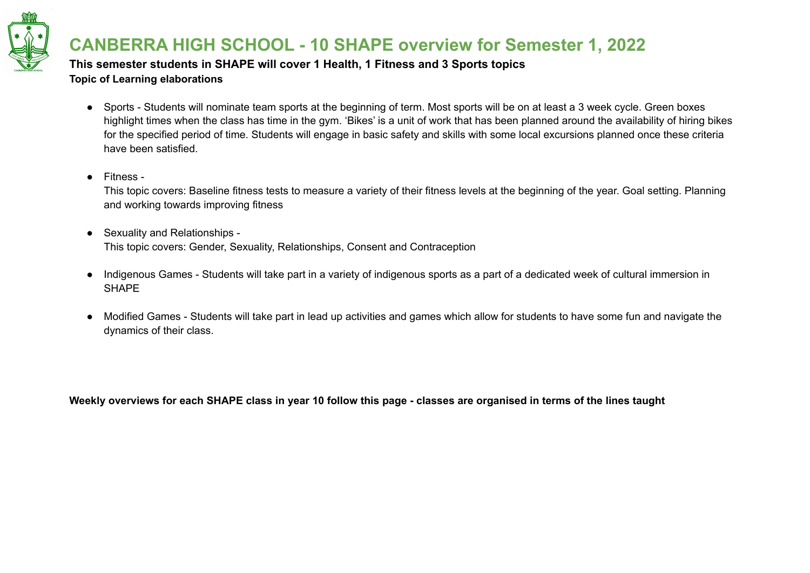

**This semester students in SHAPE will cover 1 Health, 1 Fitness and 3 Sports topics Topic of Learning elaborations**

- Sports Students will nominate team sports at the beginning of term. Most sports will be on at least a 3 week cycle. Green boxes highlight times when the class has time in the gym. 'Bikes' is a unit of work that has been planned around the availability of hiring bikes for the specified period of time. Students will engage in basic safety and skills with some local excursions planned once these criteria have been satisfied.
- Fitness -

This topic covers: Baseline fitness tests to measure a variety of their fitness levels at the beginning of the year. Goal setting. Planning and working towards improving fitness

- Sexuality and Relationships -This topic covers: Gender, Sexuality, Relationships, Consent and Contraception
- Indigenous Games Students will take part in a variety of indigenous sports as a part of a dedicated week of cultural immersion in SHAPE
- Modified Games Students will take part in lead up activities and games which allow for students to have some fun and navigate the dynamics of their class.

Weekly overviews for each SHAPE class in year 10 follow this page - classes are organised in terms of the lines taught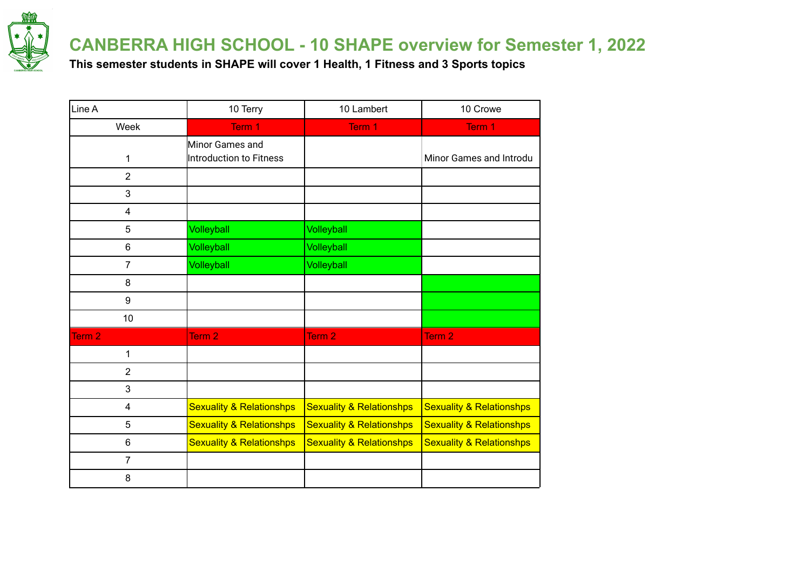

**This semester students in SHAPE will cover 1 Health, 1 Fitness and 3 Sports topics**

| Line A                  | 10 Terry                            | 10 Lambert                          | 10 Crowe                            |
|-------------------------|-------------------------------------|-------------------------------------|-------------------------------------|
| Week                    | Term 1                              | Term 1                              | Term 1                              |
|                         | Minor Games and                     |                                     |                                     |
| 1                       | Introduction to Fitness             |                                     | Minor Games and Introdu             |
| $\overline{2}$          |                                     |                                     |                                     |
| 3                       |                                     |                                     |                                     |
| $\overline{\mathbf{4}}$ |                                     |                                     |                                     |
| 5                       | Volleyball                          | Volleyball                          |                                     |
| 6                       | Volleyball                          | Volleyball                          |                                     |
| $\overline{7}$          | Volleyball                          | Volleyball                          |                                     |
| 8                       |                                     |                                     |                                     |
| $\boldsymbol{9}$        |                                     |                                     |                                     |
| 10                      |                                     |                                     |                                     |
| Term <sub>2</sub>       | Term <sub>2</sub>                   | Term <sub>2</sub>                   | Term 2                              |
| 1                       |                                     |                                     |                                     |
| $\overline{2}$          |                                     |                                     |                                     |
| 3                       |                                     |                                     |                                     |
| 4                       | <b>Sexuality &amp; Relationshps</b> | <b>Sexuality &amp; Relationshps</b> | <b>Sexuality &amp; Relationshps</b> |
| 5                       | <b>Sexuality &amp; Relationshps</b> | <b>Sexuality &amp; Relationshps</b> | <b>Sexuality &amp; Relationshps</b> |
| $\,6$                   | <b>Sexuality &amp; Relationshps</b> | <b>Sexuality &amp; Relationshps</b> | <b>Sexuality &amp; Relationshps</b> |
| $\overline{7}$          |                                     |                                     |                                     |
| 8                       |                                     |                                     |                                     |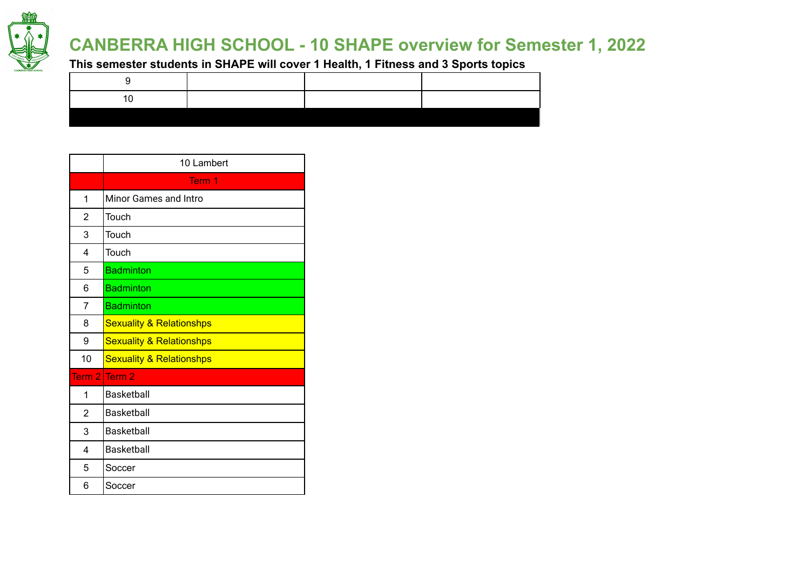

**This semester students in SHAPE will cover 1 Health, 1 Fitness and 3 Sports topics**

|                | 10 Lambert                          |
|----------------|-------------------------------------|
|                | Term 1                              |
| 1              | Minor Games and Intro               |
| 2              | Touch                               |
| 3              | Touch                               |
| 4              | Touch                               |
| 5              | <b>Badminton</b>                    |
| 6              | <b>Badminton</b>                    |
| 7              | <b>Badminton</b>                    |
| 8              | <b>Sexuality &amp; Relationshps</b> |
| 9              | <b>Sexuality &amp; Relationshps</b> |
| 10             | <b>Sexuality &amp; Relationshps</b> |
| Term 21        | Term 2                              |
| 1              | <b>Basketball</b>                   |
| $\overline{2}$ | <b>Basketball</b>                   |
| 3              | <b>Basketball</b>                   |
| 4              | <b>Basketball</b>                   |
| 5              | Soccer                              |
| 6              | Soccer                              |